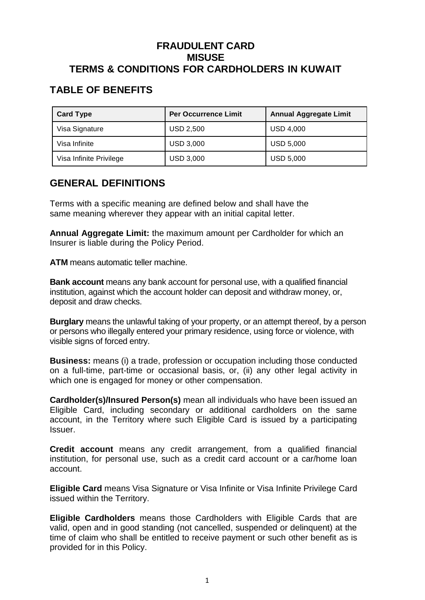### **FRAUDULENT CARD MISUSE TERMS & CONDITIONS FOR CARDHOLDERS IN KUWAIT**

# **TABLE OF BENEFITS**

| <b>Card Type</b>        | <b>Per Occurrence Limit</b> | <b>Annual Aggregate Limit</b> |
|-------------------------|-----------------------------|-------------------------------|
| Visa Signature          | <b>USD 2,500</b>            | <b>USD 4,000</b>              |
| Visa Infinite           | <b>USD 3,000</b>            | <b>USD 5,000</b>              |
| Visa Infinite Privilege | <b>USD 3,000</b>            | <b>USD 5,000</b>              |

## **GENERAL DEFINITIONS**

Terms with a specific meaning are defined below and shall have the same meaning wherever they appear with an initial capital letter.

**Annual Aggregate Limit:** the maximum amount per Cardholder for which an Insurer is liable during the Policy Period.

**ATM** means automatic teller machine.

**Bank account** means any bank account for personal use, with a qualified financial institution, against which the account holder can deposit and withdraw money, or, deposit and draw checks.

**Burglary** means the unlawful taking of your property, or an attempt thereof, by a person or persons who illegally entered your primary residence, using force or violence, with visible signs of forced entry.

**Business:** means (i) a trade, profession or occupation including those conducted on a full-time, part-time or occasional basis, or, (ii) any other legal activity in which one is engaged for money or other compensation.

**Cardholder(s)/Insured Person(s)** mean all individuals who have been issued an Eligible Card, including secondary or additional cardholders on the same account, in the Territory where such Eligible Card is issued by a participating Issuer.

**Credit account** means any credit arrangement, from a qualified financial institution, for personal use, such as a credit card account or a car/home loan account.

**Eligible Card** means Visa Signature or Visa Infinite or Visa Infinite Privilege Card issued within the Territory.

**Eligible Cardholders** means those Cardholders with Eligible Cards that are valid, open and in good standing (not cancelled, suspended or delinquent) at the time of claim who shall be entitled to receive payment or such other benefit as is provided for in this Policy.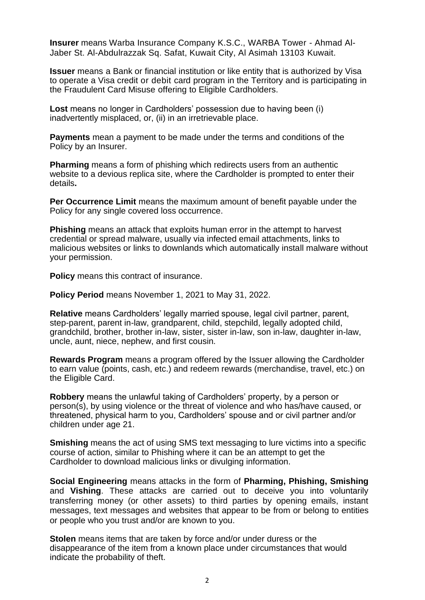**Insurer** means Warba Insurance Company K.S.C., WARBA Tower - Ahmad Al-Jaber St. Al-Abdulrazzak Sq. Safat, Kuwait City, Al Asimah 13103 Kuwait.

**Issuer** means a Bank or financial institution or like entity that is authorized by Visa to operate a Visa credit or debit card program in the Territory and is participating in the Fraudulent Card Misuse offering to Eligible Cardholders.

Lost means no longer in Cardholders' possession due to having been (i) inadvertently misplaced, or, (ii) in an irretrievable place.

**Payments** mean a payment to be made under the terms and conditions of the Policy by an Insurer.

**Pharming** means a form of phishing which redirects users from an authentic website to a devious replica site, where the Cardholder is prompted to enter their details**.**

**Per Occurrence Limit** means the maximum amount of benefit payable under the Policy for any single covered loss occurrence.

**Phishing** means an attack that exploits human error in the attempt to harvest credential or spread malware, usually via infected email attachments, links to malicious websites or links to downlands which automatically install malware without your permission.

**Policy** means this contract of insurance.

**Policy Period** means November 1, 2021 to May 31, 2022.

**Relative** means Cardholders' legally married spouse, legal civil partner, parent, step-parent, parent in-law, grandparent, child, stepchild, legally adopted child, grandchild, brother, brother in-law, sister, sister in-law, son in-law, daughter in-law, uncle, aunt, niece, nephew, and first cousin.

**Rewards Program** means a program offered by the Issuer allowing the Cardholder to earn value (points, cash, etc.) and redeem rewards (merchandise, travel, etc.) on the Eligible Card.

**Robbery** means the unlawful taking of Cardholders' property, by a person or person(s), by using violence or the threat of violence and who has/have caused, or threatened, physical harm to you, Cardholders' spouse and or civil partner and/or children under age 21.

**Smishing** means the act of using SMS text messaging to lure victims into a specific course of action, similar to Phishing where it can be an attempt to get the Cardholder to download malicious links or divulging information.

**Social Engineering** means attacks in the form of **Pharming, Phishing, Smishing** and **Vishing**. These attacks are carried out to deceive you into voluntarily transferring money (or other assets) to third parties by opening emails, instant messages, text messages and websites that appear to be from or belong to entities or people who you trust and/or are known to you.

**Stolen** means items that are taken by force and/or under duress or the disappearance of the item from a known place under circumstances that would indicate the probability of theft.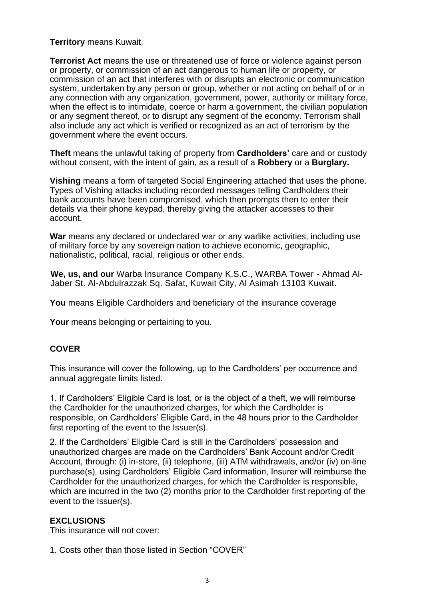#### **Territory** means Kuwait.

**Terrorist Act** means the use or threatened use of force or violence against person or property, or commission of an act dangerous to human life or property, or commission of an act that interferes with or disrupts an electronic or communication system, undertaken by any person or group, whether or not acting on behalf of or in any connection with any organization, government, power, authority or military force, when the effect is to intimidate, coerce or harm a government, the civilian population or any segment thereof, or to disrupt any segment of the economy. Terrorism shall also include any act which is verified or recognized as an act of terrorism by the government where the event occurs.

**Theft** means the unlawful taking of property from **Cardholders'** care and or custody without consent, with the intent of gain, as a result of a **Robbery** or a **Burglary.**

**Vishing** means a form of targeted Social Engineering attached that uses the phone. Types of Vishing attacks including recorded messages telling Cardholders their bank accounts have been compromised, which then prompts then to enter their details via their phone keypad, thereby giving the attacker accesses to their account.

**War** means any declared or undeclared war or any warlike activities, including use of military force by any sovereign nation to achieve economic, geographic, nationalistic, political, racial, religious or other ends.

**We, us, and our** Warba Insurance Company K.S.C., WARBA Tower - Ahmad Al-Jaber St. Al-Abdulrazzak Sq. Safat, Kuwait City, Al Asimah 13103 Kuwait.

**You** means Eligible Cardholders and beneficiary of the insurance coverage

**Your** means belonging or pertaining to you.

### **COVER**

This insurance will cover the following, up to the Cardholders' per occurrence and annual aggregate limits listed.

1. If Cardholders' Eligible Card is lost, or is the object of a theft, we will reimburse the Cardholder for the unauthorized charges, for which the Cardholder is responsible, on Cardholders' Eligible Card, in the 48 hours prior to the Cardholder first reporting of the event to the Issuer(s).

2. If the Cardholders' Eligible Card is still in the Cardholders' possession and unauthorized charges are made on the Cardholders' Bank Account and/or Credit Account, through: (i) in-store, (ii) telephone, (iii) ATM withdrawals, and/or (iv) on-line purchase(s), using Cardholders' Eligible Card information, Insurer will reimburse the Cardholder for the unauthorized charges, for which the Cardholder is responsible, which are incurred in the two (2) months prior to the Cardholder first reporting of the event to the Issuer(s).

#### **EXCLUSIONS**

This insurance will not cover:

1. Costs other than those listed in Section "COVER"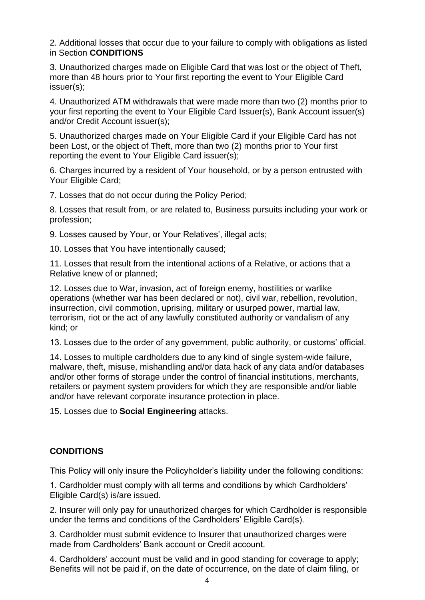2. Additional losses that occur due to your failure to comply with obligations as listed in Section **CONDITIONS**

3. Unauthorized charges made on Eligible Card that was lost or the object of Theft, more than 48 hours prior to Your first reporting the event to Your Eligible Card issuer(s);

4. Unauthorized ATM withdrawals that were made more than two (2) months prior to your first reporting the event to Your Eligible Card Issuer(s), Bank Account issuer(s) and/or Credit Account issuer(s);

5. Unauthorized charges made on Your Eligible Card if your Eligible Card has not been Lost, or the object of Theft, more than two (2) months prior to Your first reporting the event to Your Eligible Card issuer(s);

6. Charges incurred by a resident of Your household, or by a person entrusted with Your Eligible Card;

7. Losses that do not occur during the Policy Period;

8. Losses that result from, or are related to, Business pursuits including your work or profession;

9. Losses caused by Your, or Your Relatives', illegal acts;

10. Losses that You have intentionally caused;

11. Losses that result from the intentional actions of a Relative, or actions that a Relative knew of or planned;

12. Losses due to War, invasion, act of foreign enemy, hostilities or warlike operations (whether war has been declared or not), civil war, rebellion, revolution, insurrection, civil commotion, uprising, military or usurped power, martial law, terrorism, riot or the act of any lawfully constituted authority or vandalism of any kind; or

13. Losses due to the order of any government, public authority, or customs' official.

14. Losses to multiple cardholders due to any kind of single system-wide failure, malware, theft, misuse, mishandling and/or data hack of any data and/or databases and/or other forms of storage under the control of financial institutions, merchants, retailers or payment system providers for which they are responsible and/or liable and/or have relevant corporate insurance protection in place.

15. Losses due to **Social Engineering** attacks.

### **CONDITIONS**

This Policy will only insure the Policyholder's liability under the following conditions:

1. Cardholder must comply with all terms and conditions by which Cardholders' Eligible Card(s) is/are issued.

2. Insurer will only pay for unauthorized charges for which Cardholder is responsible under the terms and conditions of the Cardholders' Eligible Card(s).

3. Cardholder must submit evidence to Insurer that unauthorized charges were made from Cardholders' Bank account or Credit account.

4. Cardholders' account must be valid and in good standing for coverage to apply; Benefits will not be paid if, on the date of occurrence, on the date of claim filing, or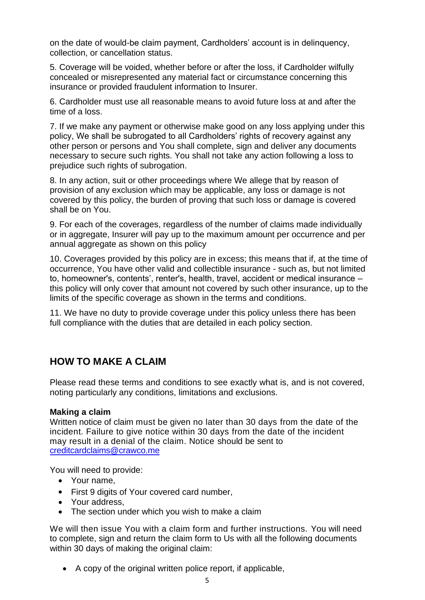on the date of would-be claim payment, Cardholders' account is in delinquency, collection, or cancellation status.

5. Coverage will be voided, whether before or after the loss, if Cardholder wilfully concealed or misrepresented any material fact or circumstance concerning this insurance or provided fraudulent information to Insurer.

6. Cardholder must use all reasonable means to avoid future loss at and after the time of a loss.

7. If we make any payment or otherwise make good on any loss applying under this policy, We shall be subrogated to all Cardholders' rights of recovery against any other person or persons and You shall complete, sign and deliver any documents necessary to secure such rights. You shall not take any action following a loss to prejudice such rights of subrogation.

8. In any action, suit or other proceedings where We allege that by reason of provision of any exclusion which may be applicable, any loss or damage is not covered by this policy, the burden of proving that such loss or damage is covered shall be on You.

9. For each of the coverages, regardless of the number of claims made individually or in aggregate, Insurer will pay up to the maximum amount per occurrence and per annual aggregate as shown on this policy

10. Coverages provided by this policy are in excess; this means that if, at the time of occurrence, You have other valid and collectible insurance - such as, but not limited to, homeowner's, contents', renter's, health, travel, accident or medical insurance – this policy will only cover that amount not covered by such other insurance, up to the limits of the specific coverage as shown in the terms and conditions.

11. We have no duty to provide coverage under this policy unless there has been full compliance with the duties that are detailed in each policy section.

## **HOW TO MAKE A CLAIM**

Please read these terms and conditions to see exactly what is, and is not covered, noting particularly any conditions, limitations and exclusions.

### **Making a claim**

Written notice of claim must be given no later than 30 days from the date of the incident. Failure to give notice within 30 days from the date of the incident may result in a denial of the claim. Notice should be sent to creditcardclaims@crawco.me

You will need to provide:

- Your name,
- First 9 digits of Your covered card number,
- Your address,
- The section under which you wish to make a claim

We will then issue You with a claim form and further instructions. You will need to complete, sign and return the claim form to Us with all the following documents within 30 days of making the original claim:

• A copy of the original written police report, if applicable,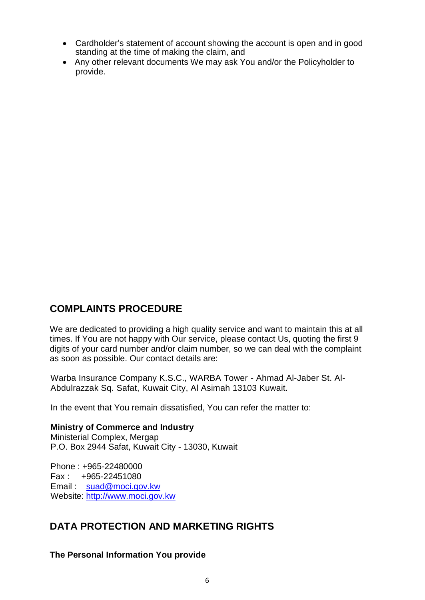- Cardholder's statement of account showing the account is open and in good standing at the time of making the claim, and
- Any other relevant documents We may ask You and/or the Policyholder to provide.

## **COMPLAINTS PROCEDURE**

We are dedicated to providing a high quality service and want to maintain this at all times. If You are not happy with Our service, please contact Us, quoting the first 9 digits of your card number and/or claim number, so we can deal with the complaint as soon as possible. Our contact details are:

Warba Insurance Company K.S.C., WARBA Tower - Ahmad Al-Jaber St. Al-Abdulrazzak Sq. Safat, Kuwait City, Al Asimah 13103 Kuwait.

In the event that You remain dissatisfied, You can refer the matter to:

### **Ministry of Commerce and Industry**

Ministerial Complex, Mergap P.O. Box 2944 Safat, Kuwait City - 13030, Kuwait

Phone : +965-22480000 Fax : +965-22451080 Email : [suad@moci.gov.kw](http://www.moci.gov.kw/) Website: [http://www.moci.gov.kw](http://www.moci.gov.kw/)

### **DATA PROTECTION AND MARKETING RIGHTS**

**The Personal Information You provide**